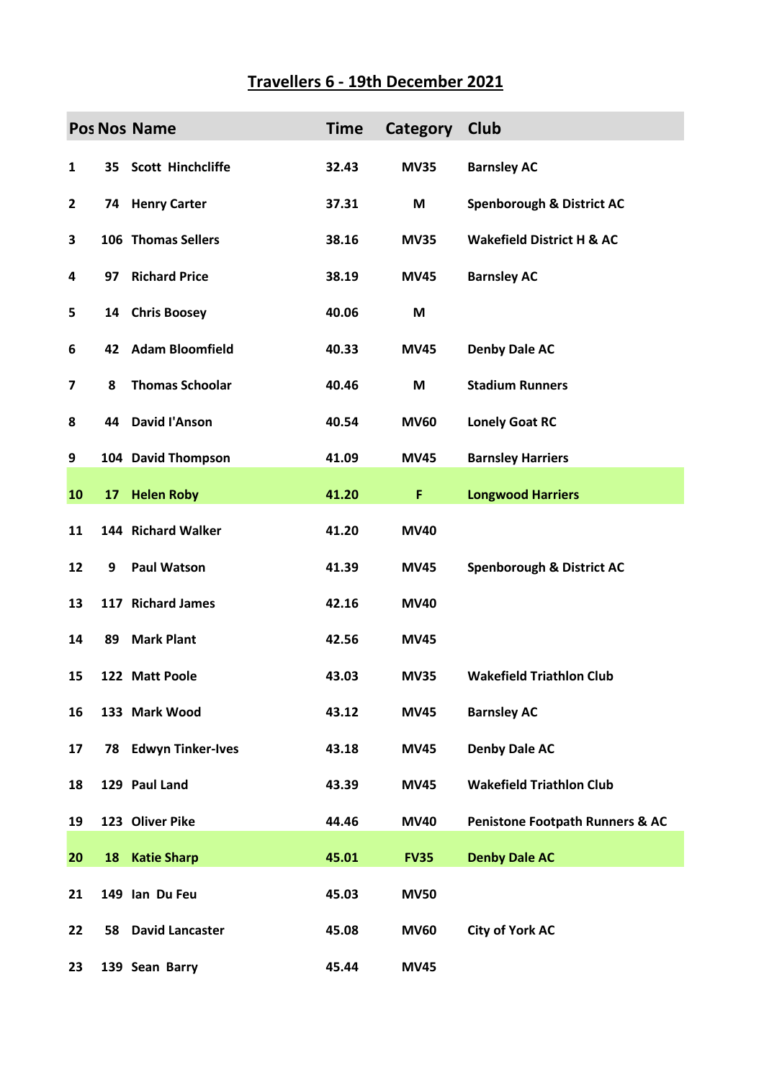## **Travellers 6 - 19th December 2021**

|              |    | <b>Pos Nos Name</b>       | <b>Time</b> | Category    | Club                                       |
|--------------|----|---------------------------|-------------|-------------|--------------------------------------------|
| 1            |    | 35 Scott Hinchcliffe      | 32.43       | <b>MV35</b> | <b>Barnsley AC</b>                         |
| $\mathbf{2}$ |    | 74 Henry Carter           | 37.31       | M           | <b>Spenborough &amp; District AC</b>       |
| 3            |    | 106 Thomas Sellers        | 38.16       | <b>MV35</b> | <b>Wakefield District H &amp; AC</b>       |
| 4            | 97 | <b>Richard Price</b>      | 38.19       | <b>MV45</b> | <b>Barnsley AC</b>                         |
| 5            | 14 | <b>Chris Boosey</b>       | 40.06       | M           |                                            |
| 6            | 42 | <b>Adam Bloomfield</b>    | 40.33       | <b>MV45</b> | <b>Denby Dale AC</b>                       |
| 7            | 8  | <b>Thomas Schoolar</b>    | 40.46       | M           | <b>Stadium Runners</b>                     |
| 8            |    | 44 David l'Anson          | 40.54       | <b>MV60</b> | <b>Lonely Goat RC</b>                      |
| 9            |    | 104 David Thompson        | 41.09       | <b>MV45</b> | <b>Barnsley Harriers</b>                   |
| 10           |    | 17 Helen Roby             | 41.20       | F           | <b>Longwood Harriers</b>                   |
| 11           |    | 144 Richard Walker        | 41.20       | <b>MV40</b> |                                            |
| 12           | 9  | <b>Paul Watson</b>        | 41.39       | <b>MV45</b> | <b>Spenborough &amp; District AC</b>       |
| 13           |    | 117 Richard James         | 42.16       | <b>MV40</b> |                                            |
| 14           | 89 | <b>Mark Plant</b>         | 42.56       | <b>MV45</b> |                                            |
| 15           |    | 122 Matt Poole            | 43.03       | <b>MV35</b> | <b>Wakefield Triathlon Club</b>            |
| 16           |    | 133 Mark Wood             | 43.12       | <b>MV45</b> | <b>Barnsley AC</b>                         |
| 17           |    | 78 Edwyn Tinker-Ives      | 43.18       | <b>MV45</b> | <b>Denby Dale AC</b>                       |
| 18           |    | 129 Paul Land             | 43.39       | <b>MV45</b> | <b>Wakefield Triathlon Club</b>            |
| 19           |    | 123 Oliver Pike           | 44.46       | <b>MV40</b> | <b>Penistone Footpath Runners &amp; AC</b> |
| 20           |    | 18 Katie Sharp            | 45.01       | <b>FV35</b> | <b>Denby Dale AC</b>                       |
| 21           |    | 149 Ian Du Feu            | 45.03       | <b>MV50</b> |                                            |
| 22           |    | <b>58 David Lancaster</b> | 45.08       | <b>MV60</b> | <b>City of York AC</b>                     |
| 23           |    | 139 Sean Barry            | 45.44       | <b>MV45</b> |                                            |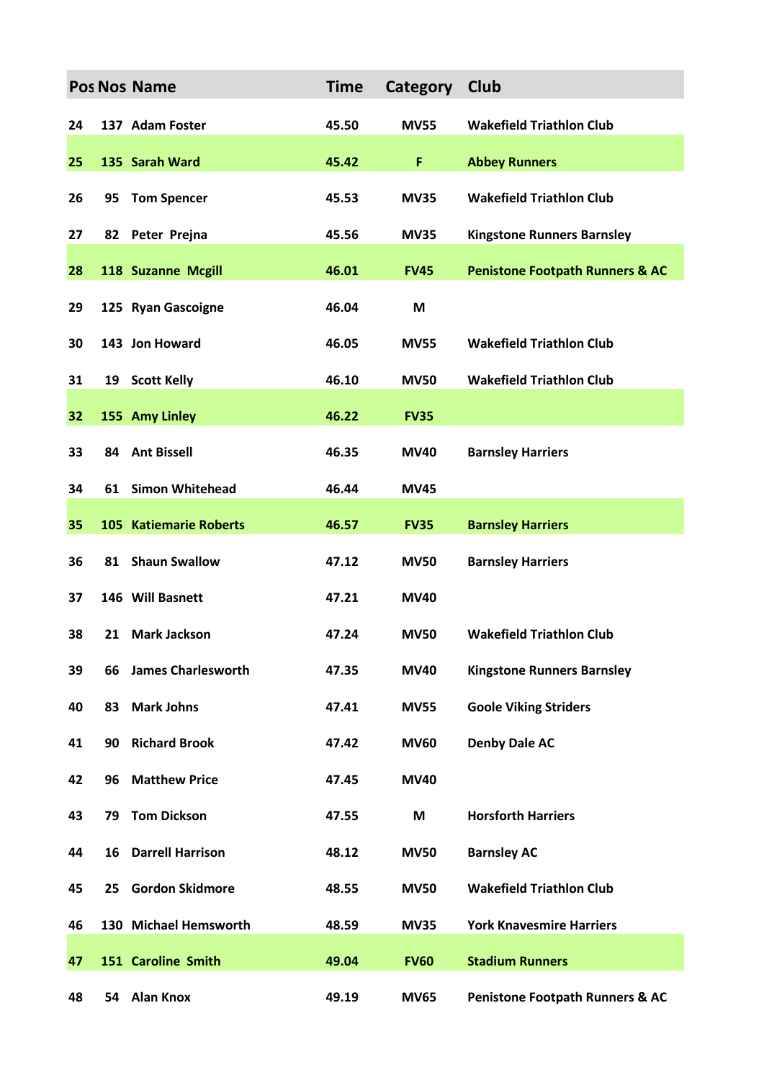|    |    | <b>Pos Nos Name</b>           | <b>Time</b> | Category    | <b>Club</b>                                |
|----|----|-------------------------------|-------------|-------------|--------------------------------------------|
| 24 |    | 137 Adam Foster               | 45.50       | <b>MV55</b> | <b>Wakefield Triathlon Club</b>            |
| 25 |    | 135 Sarah Ward                | 45.42       | F           | <b>Abbey Runners</b>                       |
| 26 | 95 | <b>Tom Spencer</b>            | 45.53       | <b>MV35</b> | <b>Wakefield Triathlon Club</b>            |
| 27 |    | 82 Peter Prejna               | 45.56       | <b>MV35</b> | <b>Kingstone Runners Barnsley</b>          |
| 28 |    | 118 Suzanne Mcgill            | 46.01       | <b>FV45</b> | <b>Penistone Footpath Runners &amp; AC</b> |
| 29 |    | 125 Ryan Gascoigne            | 46.04       | M           |                                            |
| 30 |    | 143 Jon Howard                | 46.05       | <b>MV55</b> | <b>Wakefield Triathlon Club</b>            |
| 31 |    | 19 Scott Kelly                | 46.10       | <b>MV50</b> | <b>Wakefield Triathlon Club</b>            |
| 32 |    | 155 Amy Linley                | 46.22       | <b>FV35</b> |                                            |
| 33 |    | 84 Ant Bissell                | 46.35       | <b>MV40</b> | <b>Barnsley Harriers</b>                   |
| 34 | 61 | <b>Simon Whitehead</b>        | 46.44       | <b>MV45</b> |                                            |
| 35 |    | <b>105 Katiemarie Roberts</b> | 46.57       | <b>FV35</b> | <b>Barnsley Harriers</b>                   |
| 36 |    | 81 Shaun Swallow              | 47.12       | <b>MV50</b> | <b>Barnsley Harriers</b>                   |
| 37 |    | 146 Will Basnett              | 47.21       | <b>MV40</b> |                                            |
| 38 | 21 | <b>Mark Jackson</b>           | 47.24       | <b>MV50</b> | <b>Wakefield Triathlon Club</b>            |
| 39 | 66 | <b>James Charlesworth</b>     | 47.35       | <b>MV40</b> | <b>Kingstone Runners Barnsley</b>          |
| 40 | 83 | <b>Mark Johns</b>             | 47.41       | <b>MV55</b> | <b>Goole Viking Striders</b>               |
| 41 | 90 | <b>Richard Brook</b>          | 47.42       | <b>MV60</b> | <b>Denby Dale AC</b>                       |
| 42 | 96 | <b>Matthew Price</b>          | 47.45       | <b>MV40</b> |                                            |
| 43 | 79 | <b>Tom Dickson</b>            | 47.55       | M           | <b>Horsforth Harriers</b>                  |
| 44 | 16 | <b>Darrell Harrison</b>       | 48.12       | <b>MV50</b> | <b>Barnsley AC</b>                         |
| 45 | 25 | <b>Gordon Skidmore</b>        | 48.55       | <b>MV50</b> | <b>Wakefield Triathlon Club</b>            |
| 46 |    | 130 Michael Hemsworth         | 48.59       | <b>MV35</b> | <b>York Knavesmire Harriers</b>            |
| 47 |    | 151 Caroline Smith            | 49.04       | <b>FV60</b> | <b>Stadium Runners</b>                     |
| 48 |    | 54 Alan Knox                  | 49.19       | <b>MV65</b> | <b>Penistone Footpath Runners &amp; AC</b> |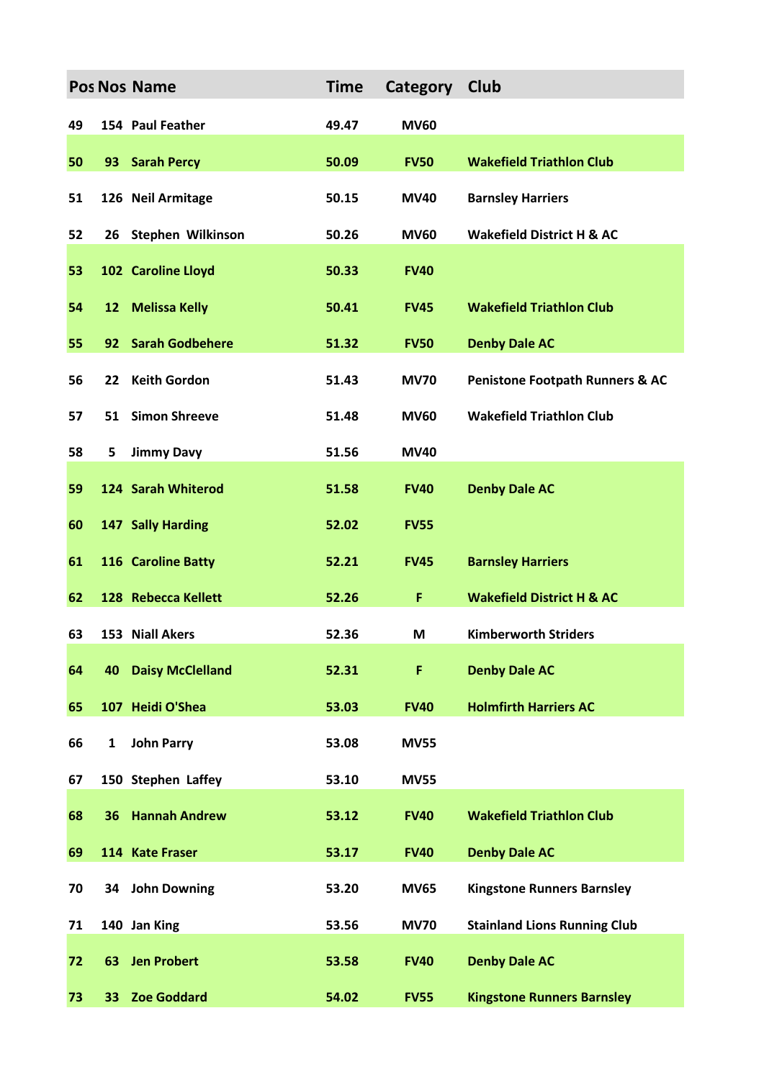|    |              | <b>Pos Nos Name</b>     | <b>Time</b> | Category    | Club                                       |
|----|--------------|-------------------------|-------------|-------------|--------------------------------------------|
| 49 |              | 154 Paul Feather        | 49.47       | <b>MV60</b> |                                            |
| 50 |              | 93 Sarah Percy          | 50.09       | <b>FV50</b> | <b>Wakefield Triathlon Club</b>            |
| 51 |              | 126 Neil Armitage       | 50.15       | <b>MV40</b> | <b>Barnsley Harriers</b>                   |
| 52 |              | 26 Stephen Wilkinson    | 50.26       | <b>MV60</b> | <b>Wakefield District H &amp; AC</b>       |
| 53 |              | 102 Caroline Lloyd      | 50.33       | <b>FV40</b> |                                            |
| 54 | 12           | <b>Melissa Kelly</b>    | 50.41       | <b>FV45</b> | <b>Wakefield Triathlon Club</b>            |
| 55 | 92           | <b>Sarah Godbehere</b>  | 51.32       | <b>FV50</b> | <b>Denby Dale AC</b>                       |
| 56 |              | 22 Keith Gordon         | 51.43       | <b>MV70</b> | <b>Penistone Footpath Runners &amp; AC</b> |
| 57 | 51           | <b>Simon Shreeve</b>    | 51.48       | <b>MV60</b> | <b>Wakefield Triathlon Club</b>            |
| 58 | 5            | <b>Jimmy Davy</b>       | 51.56       | <b>MV40</b> |                                            |
| 59 |              | 124 Sarah Whiterod      | 51.58       | <b>FV40</b> | <b>Denby Dale AC</b>                       |
| 60 |              | 147 Sally Harding       | 52.02       | <b>FV55</b> |                                            |
| 61 |              | 116 Caroline Batty      | 52.21       | <b>FV45</b> | <b>Barnsley Harriers</b>                   |
| 62 |              | 128 Rebecca Kellett     | 52.26       | F           | <b>Wakefield District H &amp; AC</b>       |
| 63 |              | 153 Niall Akers         | 52.36       | M           | <b>Kimberworth Striders</b>                |
| 64 | 40           | <b>Daisy McClelland</b> | 52.31       | F           | <b>Denby Dale AC</b>                       |
| 65 |              | 107 Heidi O'Shea        | 53.03       | <b>FV40</b> | <b>Holmfirth Harriers AC</b>               |
| 66 | $\mathbf{1}$ | <b>John Parry</b>       | 53.08       | <b>MV55</b> |                                            |
| 67 |              | 150 Stephen Laffey      | 53.10       | <b>MV55</b> |                                            |
| 68 |              | <b>36 Hannah Andrew</b> | 53.12       | <b>FV40</b> | <b>Wakefield Triathlon Club</b>            |
| 69 |              | 114 Kate Fraser         | 53.17       | <b>FV40</b> | <b>Denby Dale AC</b>                       |
| 70 |              | 34 John Downing         | 53.20       | <b>MV65</b> | <b>Kingstone Runners Barnsley</b>          |
| 71 |              | 140 Jan King            | 53.56       | <b>MV70</b> | <b>Stainland Lions Running Club</b>        |
| 72 | 63           | <b>Jen Probert</b>      | 53.58       | <b>FV40</b> | <b>Denby Dale AC</b>                       |
| 73 |              | 33 Zoe Goddard          | 54.02       | <b>FV55</b> | <b>Kingstone Runners Barnsley</b>          |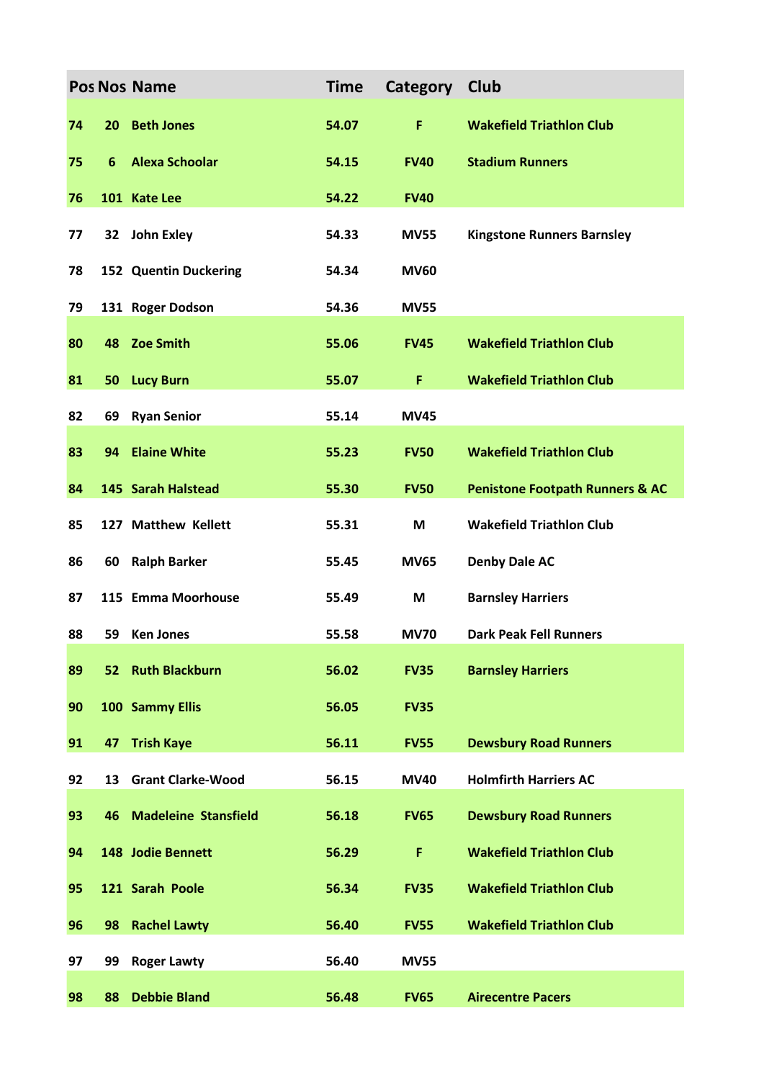|    |    | <b>Pos Nos Name</b>            | <b>Time</b> | Category Club |                                            |
|----|----|--------------------------------|-------------|---------------|--------------------------------------------|
| 74 | 20 | <b>Beth Jones</b>              | 54.07       | F             | <b>Wakefield Triathlon Club</b>            |
| 75 | 6  | <b>Alexa Schoolar</b>          | 54.15       | <b>FV40</b>   | <b>Stadium Runners</b>                     |
| 76 |    | 101 Kate Lee                   | 54.22       | <b>FV40</b>   |                                            |
| 77 |    | 32 John Exley                  | 54.33       | <b>MV55</b>   | <b>Kingstone Runners Barnsley</b>          |
| 78 |    | 152 Quentin Duckering          | 54.34       | <b>MV60</b>   |                                            |
| 79 |    | 131 Roger Dodson               | 54.36       | <b>MV55</b>   |                                            |
| 80 | 48 | <b>Zoe Smith</b>               | 55.06       | <b>FV45</b>   | <b>Wakefield Triathlon Club</b>            |
| 81 | 50 | <b>Lucy Burn</b>               | 55.07       | F             | <b>Wakefield Triathlon Club</b>            |
| 82 | 69 | <b>Ryan Senior</b>             | 55.14       | <b>MV45</b>   |                                            |
| 83 | 94 | <b>Elaine White</b>            | 55.23       | <b>FV50</b>   | <b>Wakefield Triathlon Club</b>            |
| 84 |    | 145 Sarah Halstead             | 55.30       | <b>FV50</b>   | <b>Penistone Footpath Runners &amp; AC</b> |
| 85 |    | 127 Matthew Kellett            | 55.31       | M             | <b>Wakefield Triathlon Club</b>            |
| 86 | 60 | <b>Ralph Barker</b>            | 55.45       | <b>MV65</b>   | <b>Denby Dale AC</b>                       |
| 87 |    | 115 Emma Moorhouse             | 55.49       | M             | <b>Barnsley Harriers</b>                   |
| 88 | 59 | <b>Ken Jones</b>               | 55.58       | <b>MV70</b>   | <b>Dark Peak Fell Runners</b>              |
| 89 |    | 52 Ruth Blackburn              | 56.02       | <b>FV35</b>   | <b>Barnsley Harriers</b>                   |
| 90 |    | 100 Sammy Ellis                | 56.05       | <b>FV35</b>   |                                            |
| 91 | 47 | <b>Trish Kaye</b>              | 56.11       | <b>FV55</b>   | <b>Dewsbury Road Runners</b>               |
| 92 | 13 | <b>Grant Clarke-Wood</b>       | 56.15       | <b>MV40</b>   | <b>Holmfirth Harriers AC</b>               |
| 93 |    | <b>46 Madeleine Stansfield</b> | 56.18       | <b>FV65</b>   | <b>Dewsbury Road Runners</b>               |
| 94 |    | 148 Jodie Bennett              | 56.29       | F             | <b>Wakefield Triathlon Club</b>            |
| 95 |    | 121 Sarah Poole                | 56.34       | <b>FV35</b>   | <b>Wakefield Triathlon Club</b>            |
| 96 | 98 | <b>Rachel Lawty</b>            | 56.40       | <b>FV55</b>   | <b>Wakefield Triathlon Club</b>            |
| 97 | 99 | <b>Roger Lawty</b>             | 56.40       | <b>MV55</b>   |                                            |
| 98 | 88 | <b>Debbie Bland</b>            | 56.48       | <b>FV65</b>   | <b>Airecentre Pacers</b>                   |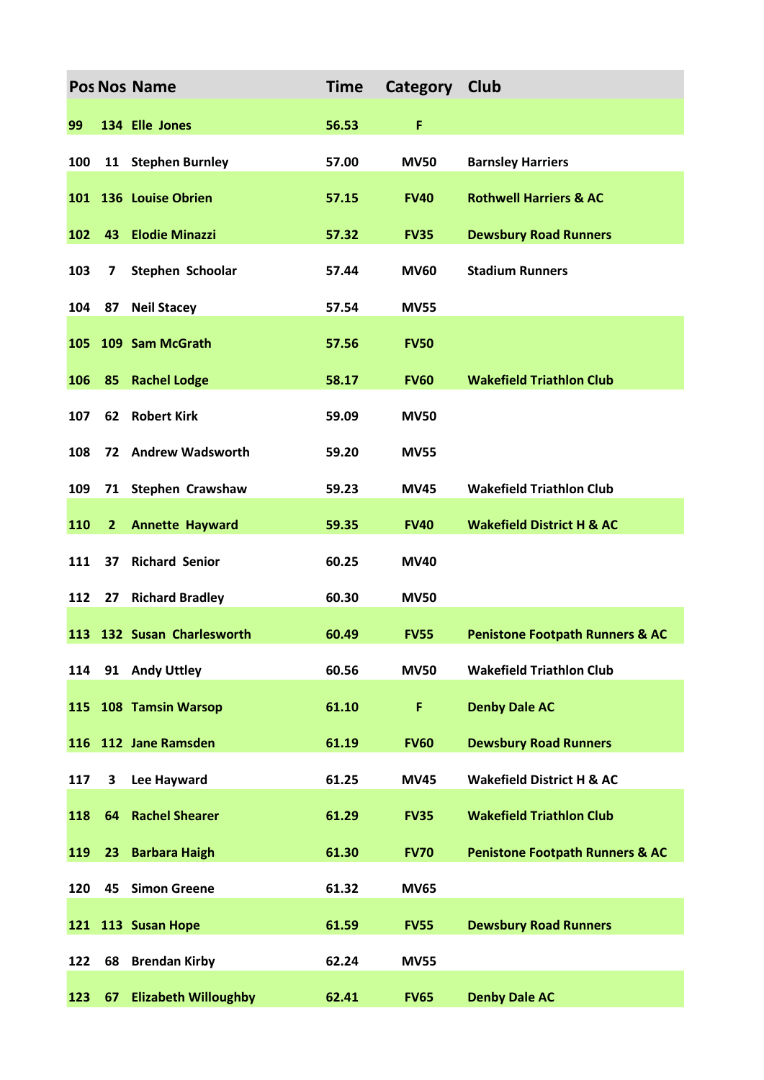|     |                | <b>Pos Nos Name</b>         | <b>Time</b> | Category Club |                                            |
|-----|----------------|-----------------------------|-------------|---------------|--------------------------------------------|
| 99  |                | 134 Elle Jones              | 56.53       | F             |                                            |
| 100 |                | 11 Stephen Burnley          | 57.00       | <b>MV50</b>   | <b>Barnsley Harriers</b>                   |
|     |                | 101 136 Louise Obrien       | 57.15       | <b>FV40</b>   | <b>Rothwell Harriers &amp; AC</b>          |
| 102 | 43             | <b>Elodie Minazzi</b>       | 57.32       | <b>FV35</b>   | <b>Dewsbury Road Runners</b>               |
| 103 | $\overline{7}$ | Stephen Schoolar            | 57.44       | <b>MV60</b>   | <b>Stadium Runners</b>                     |
| 104 | 87             | <b>Neil Stacey</b>          | 57.54       | <b>MV55</b>   |                                            |
| 105 |                | 109 Sam McGrath             | 57.56       | <b>FV50</b>   |                                            |
| 106 | 85             | <b>Rachel Lodge</b>         | 58.17       | <b>FV60</b>   | <b>Wakefield Triathlon Club</b>            |
| 107 | 62             | <b>Robert Kirk</b>          | 59.09       | <b>MV50</b>   |                                            |
| 108 |                | 72 Andrew Wadsworth         | 59.20       | <b>MV55</b>   |                                            |
| 109 | 71             | <b>Stephen Crawshaw</b>     | 59.23       | <b>MV45</b>   | <b>Wakefield Triathlon Club</b>            |
| 110 | $\overline{2}$ | <b>Annette Hayward</b>      | 59.35       | <b>FV40</b>   | <b>Wakefield District H &amp; AC</b>       |
| 111 | 37             | <b>Richard Senior</b>       | 60.25       | <b>MV40</b>   |                                            |
| 112 | 27             | <b>Richard Bradley</b>      | 60.30       | <b>MV50</b>   |                                            |
|     |                | 113 132 Susan Charlesworth  | 60.49       | <b>FV55</b>   | <b>Penistone Footpath Runners &amp; AC</b> |
| 114 |                | 91 Andy Uttley              | 60.56       | <b>MV50</b>   | <b>Wakefield Triathlon Club</b>            |
| 115 |                | 108 Tamsin Warsop           | 61.10       | F             | <b>Denby Dale AC</b>                       |
|     |                | 116 112 Jane Ramsden        | 61.19       | <b>FV60</b>   | <b>Dewsbury Road Runners</b>               |
| 117 | 3              | Lee Hayward                 | 61.25       | <b>MV45</b>   | <b>Wakefield District H &amp; AC</b>       |
| 118 |                | <b>64 Rachel Shearer</b>    | 61.29       | <b>FV35</b>   | <b>Wakefield Triathlon Club</b>            |
| 119 | 23             | <b>Barbara Haigh</b>        | 61.30       | <b>FV70</b>   | <b>Penistone Footpath Runners &amp; AC</b> |
| 120 |                | 45 Simon Greene             | 61.32       | <b>MV65</b>   |                                            |
|     |                | 121 113 Susan Hope          | 61.59       | <b>FV55</b>   | <b>Dewsbury Road Runners</b>               |
| 122 | 68             | <b>Brendan Kirby</b>        | 62.24       | <b>MV55</b>   |                                            |
| 123 | 67             | <b>Elizabeth Willoughby</b> | 62.41       | <b>FV65</b>   | <b>Denby Dale AC</b>                       |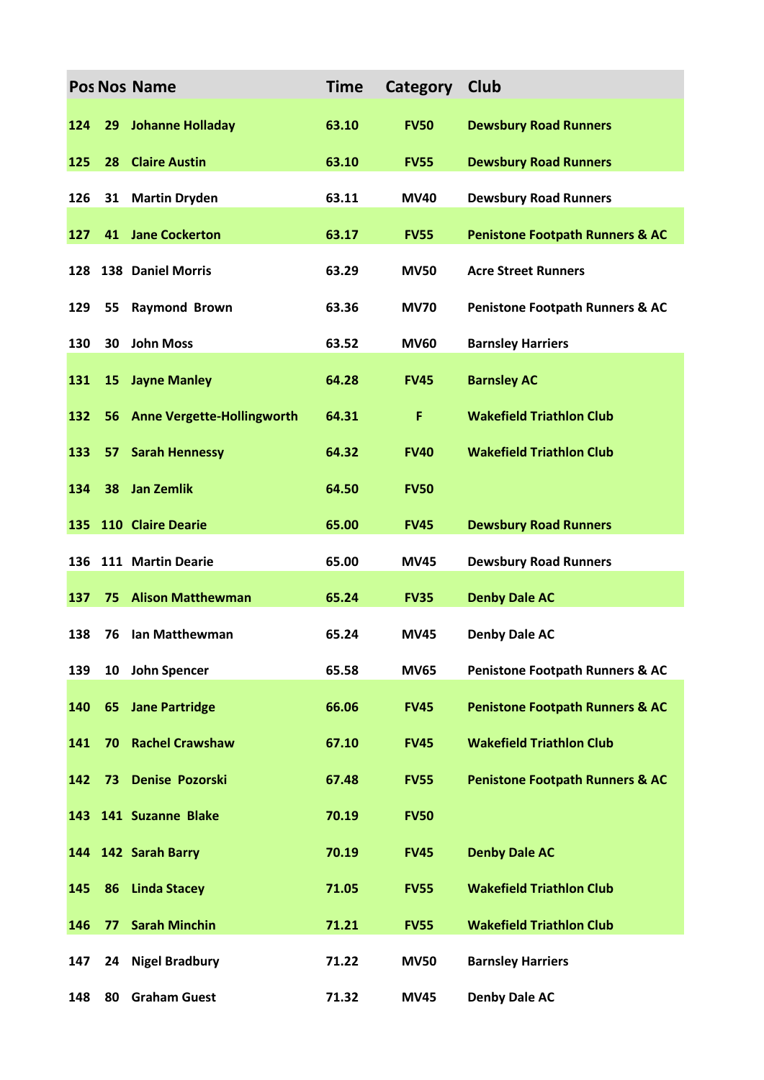|     |    | <b>Pos Nos Name</b>               | <b>Time</b> | Category    | Club                                       |
|-----|----|-----------------------------------|-------------|-------------|--------------------------------------------|
| 124 | 29 | <b>Johanne Holladay</b>           | 63.10       | <b>FV50</b> | <b>Dewsbury Road Runners</b>               |
| 125 | 28 | <b>Claire Austin</b>              | 63.10       | <b>FV55</b> | <b>Dewsbury Road Runners</b>               |
| 126 | 31 | <b>Martin Dryden</b>              | 63.11       | <b>MV40</b> | <b>Dewsbury Road Runners</b>               |
| 127 | 41 | <b>Jane Cockerton</b>             | 63.17       | <b>FV55</b> | <b>Penistone Footpath Runners &amp; AC</b> |
| 128 |    | 138 Daniel Morris                 | 63.29       | <b>MV50</b> | <b>Acre Street Runners</b>                 |
| 129 | 55 | <b>Raymond Brown</b>              | 63.36       | <b>MV70</b> | <b>Penistone Footpath Runners &amp; AC</b> |
| 130 | 30 | <b>John Moss</b>                  | 63.52       | <b>MV60</b> | <b>Barnsley Harriers</b>                   |
| 131 |    | 15 Jayne Manley                   | 64.28       | <b>FV45</b> | <b>Barnsley AC</b>                         |
| 132 | 56 | <b>Anne Vergette-Hollingworth</b> | 64.31       | F           | <b>Wakefield Triathlon Club</b>            |
| 133 | 57 | <b>Sarah Hennessy</b>             | 64.32       | <b>FV40</b> | <b>Wakefield Triathlon Club</b>            |
| 134 | 38 | <b>Jan Zemlik</b>                 | 64.50       | <b>FV50</b> |                                            |
| 135 |    | 110 Claire Dearie                 | 65.00       | <b>FV45</b> | <b>Dewsbury Road Runners</b>               |
|     |    | 136 111 Martin Dearie             | 65.00       | <b>MV45</b> | <b>Dewsbury Road Runners</b>               |
| 137 | 75 | <b>Alison Matthewman</b>          | 65.24       | <b>FV35</b> | <b>Denby Dale AC</b>                       |
| 138 | 76 | Ian Matthewman                    | 65.24       | <b>MV45</b> | <b>Denby Dale AC</b>                       |
| 139 | 10 | John Spencer                      | 65.58       | <b>MV65</b> | <b>Penistone Footpath Runners &amp; AC</b> |
| 140 | 65 | <b>Jane Partridge</b>             | 66.06       | <b>FV45</b> | <b>Penistone Footpath Runners &amp; AC</b> |
| 141 | 70 | <b>Rachel Crawshaw</b>            | 67.10       | <b>FV45</b> | <b>Wakefield Triathlon Club</b>            |
| 142 | 73 | <b>Denise Pozorski</b>            | 67.48       | <b>FV55</b> | <b>Penistone Footpath Runners &amp; AC</b> |
|     |    | 143 141 Suzanne Blake             | 70.19       | <b>FV50</b> |                                            |
|     |    | 144 142 Sarah Barry               | 70.19       | <b>FV45</b> | <b>Denby Dale AC</b>                       |
| 145 | 86 | <b>Linda Stacey</b>               | 71.05       | <b>FV55</b> | <b>Wakefield Triathlon Club</b>            |
| 146 | 77 | <b>Sarah Minchin</b>              | 71.21       | <b>FV55</b> | <b>Wakefield Triathlon Club</b>            |
| 147 | 24 | <b>Nigel Bradbury</b>             | 71.22       | <b>MV50</b> | <b>Barnsley Harriers</b>                   |
| 148 | 80 | <b>Graham Guest</b>               | 71.32       | <b>MV45</b> | <b>Denby Dale AC</b>                       |